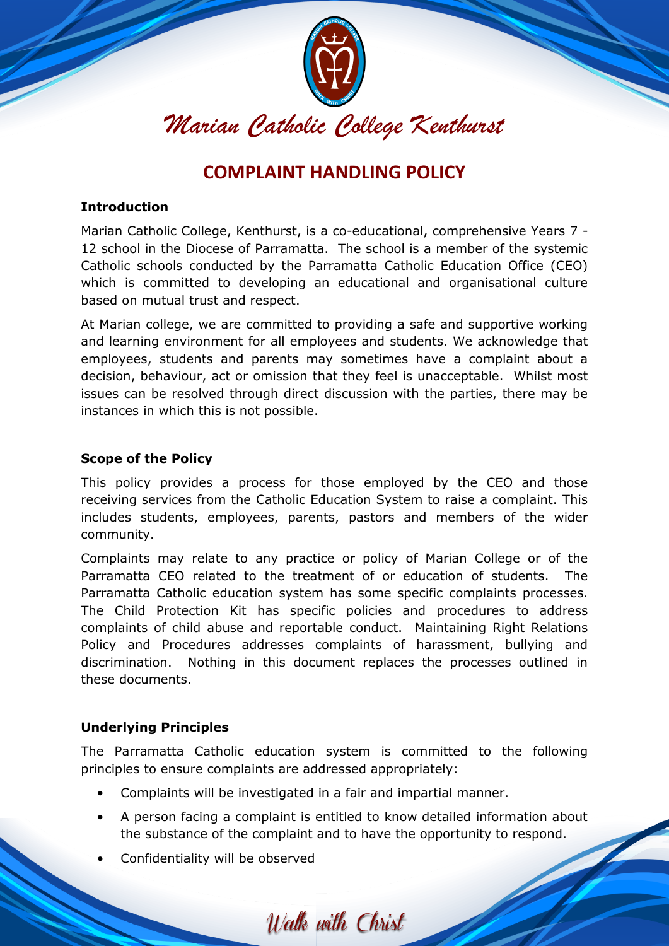

# **COMPLAINT HANDLING POLICY**

# **Introduction**

Marian Catholic College, Kenthurst, is a co-educational, comprehensive Years 7 - 12 school in the Diocese of Parramatta. The school is a member of the systemic Catholic schools conducted by the Parramatta Catholic Education Office (CEO) which is committed to developing an educational and organisational culture based on mutual trust and respect.

At Marian college, we are committed to providing a safe and supportive working and learning environment for all employees and students. We acknowledge that employees, students and parents may sometimes have a complaint about a decision, behaviour, act or omission that they feel is unacceptable. Whilst most issues can be resolved through direct discussion with the parties, there may be instances in which this is not possible.

### **Scope of the Policy**

This policy provides a process for those employed by the CEO and those receiving services from the Catholic Education System to raise a complaint. This includes students, employees, parents, pastors and members of the wider community.

Complaints may relate to any practice or policy of Marian College or of the Parramatta CEO related to the treatment of or education of students. The Parramatta Catholic education system has some specific complaints processes. The Child Protection Kit has specific policies and procedures to address complaints of child abuse and reportable conduct. Maintaining Right Relations Policy and Procedures addresses complaints of harassment, bullying and discrimination. Nothing in this document replaces the processes outlined in these documents.

# **Underlying Principles**

The Parramatta Catholic education system is committed to the following principles to ensure complaints are addressed appropriately:

- Complaints will be investigated in a fair and impartial manner.
- A person facing a complaint is entitled to know detailed information about the substance of the complaint and to have the opportunity to respond.

Walk with Christ

Confidentiality will be observed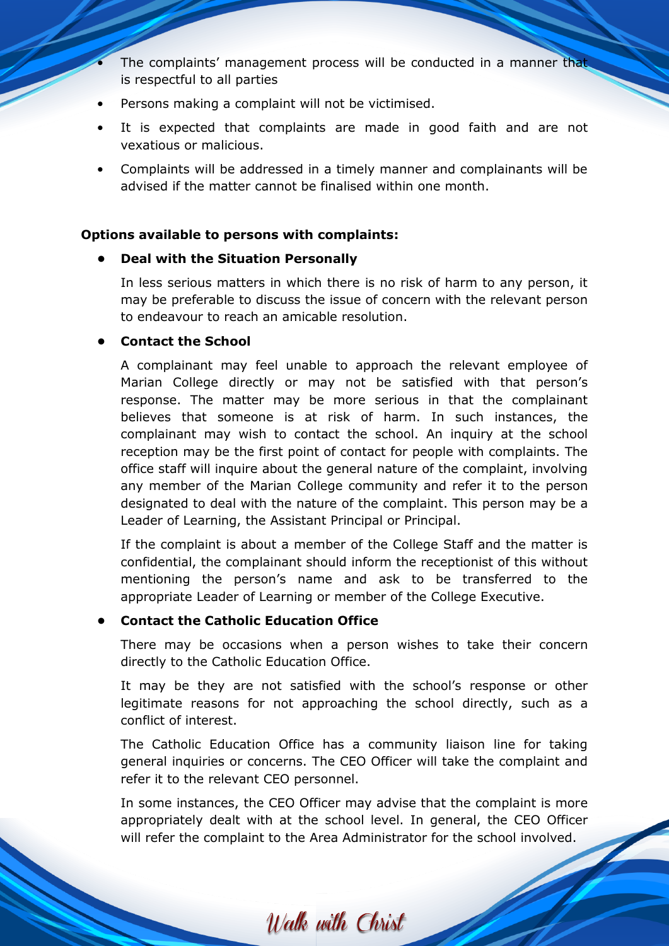- The complaints' management process will be conducted in a manner that is respectful to all parties
- Persons making a complaint will not be victimised.
- It is expected that complaints are made in good faith and are not vexatious or malicious.
- Complaints will be addressed in a timely manner and complainants will be advised if the matter cannot be finalised within one month.

#### **Options available to persons with complaints:**

#### **• Deal with the Situation Personally**

In less serious matters in which there is no risk of harm to any person, it may be preferable to discuss the issue of concern with the relevant person to endeavour to reach an amicable resolution.

## **• Contact the School**

A complainant may feel unable to approach the relevant employee of Marian College directly or may not be satisfied with that person's response. The matter may be more serious in that the complainant believes that someone is at risk of harm. In such instances, the complainant may wish to contact the school. An inquiry at the school reception may be the first point of contact for people with complaints. The office staff will inquire about the general nature of the complaint, involving any member of the Marian College community and refer it to the person designated to deal with the nature of the complaint. This person may be a Leader of Learning, the Assistant Principal or Principal.

If the complaint is about a member of the College Staff and the matter is confidential, the complainant should inform the receptionist of this without mentioning the person's name and ask to be transferred to the appropriate Leader of Learning or member of the College Executive.

## **• Contact the Catholic Education Office**

There may be occasions when a person wishes to take their concern directly to the Catholic Education Office.

It may be they are not satisfied with the school's response or other legitimate reasons for not approaching the school directly, such as a conflict of interest.

The Catholic Education Office has a community liaison line for taking general inquiries or concerns. The CEO Officer will take the complaint and refer it to the relevant CEO personnel.

In some instances, the CEO Officer may advise that the complaint is more appropriately dealt with at the school level. In general, the CEO Officer will refer the complaint to the Area Administrator for the school involved.

Walk with Christ